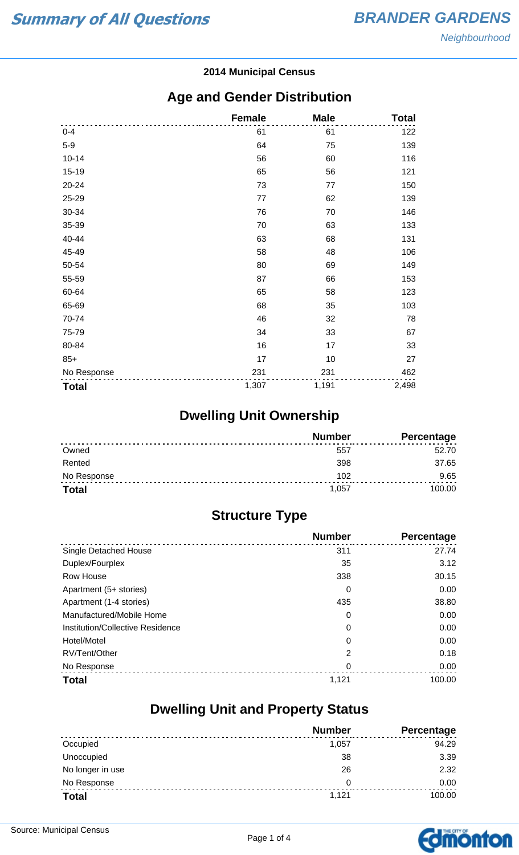#### **2014 Municipal Census**

#### **Age and Gender Distribution**

|              | <b>Female</b> | <b>Male</b> | <b>Total</b> |
|--------------|---------------|-------------|--------------|
| $0 - 4$      | 61            | 61          | 122          |
| $5-9$        | 64            | 75          | 139          |
| $10 - 14$    | 56            | 60          | 116          |
| 15-19        | 65            | 56          | 121          |
| 20-24        | 73            | 77          | 150          |
| 25-29        | 77            | 62          | 139          |
| 30-34        | 76            | 70          | 146          |
| 35-39        | 70            | 63          | 133          |
| 40-44        | 63            | 68          | 131          |
| 45-49        | 58            | 48          | 106          |
| 50-54        | 80            | 69          | 149          |
| 55-59        | 87            | 66          | 153          |
| 60-64        | 65            | 58          | 123          |
| 65-69        | 68            | 35          | 103          |
| 70-74        | 46            | 32          | 78           |
| 75-79        | 34            | 33          | 67           |
| 80-84        | 16            | 17          | 33           |
| $85+$        | 17            | 10          | 27           |
| No Response  | 231           | 231         | 462          |
| <b>Total</b> | 1,307         | 1,191       | 2,498        |

## **Dwelling Unit Ownership**

|              | <b>Number</b> | <b>Percentage</b> |
|--------------|---------------|-------------------|
| Owned        | 557           | 52.70             |
| Rented       | 398           | 37.65             |
| No Response  | 102           | 9.65              |
| <b>Total</b> | 1.057         | 100.00            |

## **Structure Type**

|                                  | <b>Number</b> | <b>Percentage</b> |
|----------------------------------|---------------|-------------------|
| Single Detached House            | 311           | 27.74             |
| Duplex/Fourplex                  | 35            | 3.12              |
| Row House                        | 338           | 30.15             |
| Apartment (5+ stories)           | 0             | 0.00              |
| Apartment (1-4 stories)          | 435           | 38.80             |
| Manufactured/Mobile Home         | 0             | 0.00              |
| Institution/Collective Residence | 0             | 0.00              |
| Hotel/Motel                      | 0             | 0.00              |
| RV/Tent/Other                    | 2             | 0.18              |
| No Response                      | 0             | 0.00              |
| <b>Total</b>                     | 1,121         | 100.00            |

#### **Dwelling Unit and Property Status**

|                  | <b>Number</b> | <b>Percentage</b> |
|------------------|---------------|-------------------|
| Occupied         | 1.057         | 94.29             |
| Unoccupied       | 38            | 3.39              |
| No longer in use | 26            | 2.32              |
| No Response      | 0             | 0.00              |
| <b>Total</b>     | 1,121         | 100.00            |

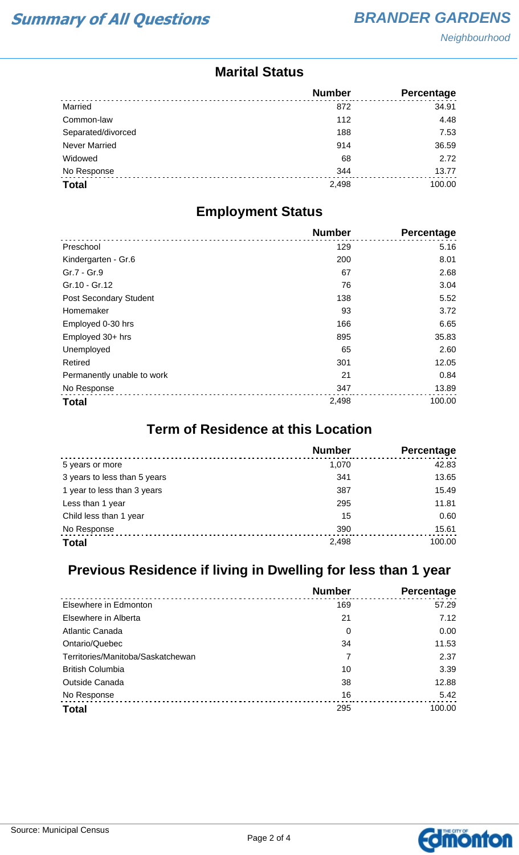**Neighbourhood** 

#### **Marital Status**

|                      | <b>Number</b> | Percentage |
|----------------------|---------------|------------|
| Married              | 872           | 34.91      |
| Common-law           | 112           | 4.48       |
| Separated/divorced   | 188           | 7.53       |
| <b>Never Married</b> | 914           | 36.59      |
| Widowed              | 68            | 2.72       |
| No Response          | 344           | 13.77      |
| <b>Total</b>         | 2,498         | 100.00     |

#### **Employment Status**

|                            | <b>Number</b> | <b>Percentage</b> |
|----------------------------|---------------|-------------------|
| Preschool                  | 129           | 5.16              |
| Kindergarten - Gr.6        | 200           | 8.01              |
| Gr.7 - Gr.9                | 67            | 2.68              |
| Gr.10 - Gr.12              | 76            | 3.04              |
| Post Secondary Student     | 138           | 5.52              |
| Homemaker                  | 93            | 3.72              |
| Employed 0-30 hrs          | 166           | 6.65              |
| Employed 30+ hrs           | 895           | 35.83             |
| Unemployed                 | 65            | 2.60              |
| Retired                    | 301           | 12.05             |
| Permanently unable to work | 21            | 0.84              |
| No Response                | 347           | 13.89             |
| <b>Total</b>               | 2,498         | 100.00            |

## **Term of Residence at this Location**

|                              | <b>Number</b> | Percentage |
|------------------------------|---------------|------------|
| 5 years or more              | 1,070         | 42.83      |
| 3 years to less than 5 years | 341           | 13.65      |
| 1 year to less than 3 years  | 387           | 15.49      |
| Less than 1 year             | 295           | 11.81      |
| Child less than 1 year       | 15            | 0.60       |
| No Response                  | 390           | 15.61      |
| <b>Total</b>                 | 2,498         | 100.00     |

## **Previous Residence if living in Dwelling for less than 1 year**

|                                   | <b>Number</b> | Percentage |
|-----------------------------------|---------------|------------|
| Elsewhere in Edmonton             | 169           | 57.29      |
| Elsewhere in Alberta              | 21            | 7.12       |
| Atlantic Canada                   | 0             | 0.00       |
| Ontario/Quebec                    | 34            | 11.53      |
| Territories/Manitoba/Saskatchewan | 7             | 2.37       |
| <b>British Columbia</b>           | 10            | 3.39       |
| <b>Outside Canada</b>             | 38            | 12.88      |
| No Response                       | 16            | 5.42       |
| <b>Total</b>                      | 295           | 100.00     |

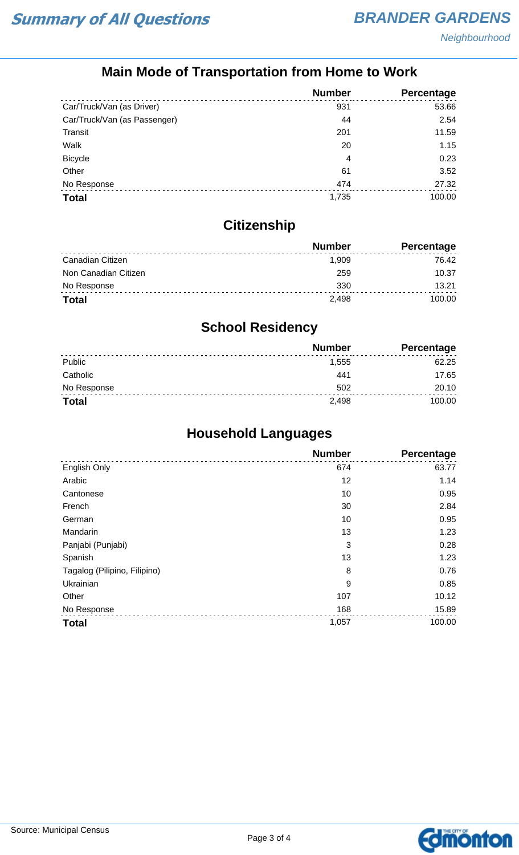## **Main Mode of Transportation from Home to Work**

|                              | <b>Number</b> | Percentage |
|------------------------------|---------------|------------|
| Car/Truck/Van (as Driver)    | 931           | 53.66      |
| Car/Truck/Van (as Passenger) | 44            | 2.54       |
| Transit                      | 201           | 11.59      |
| Walk                         | 20            | 1.15       |
| <b>Bicycle</b>               | 4             | 0.23       |
| Other                        | 61            | 3.52       |
| No Response                  | 474           | 27.32      |
| <b>Total</b>                 | 1,735         | 100.00     |

## **Citizenship**

|                      | <b>Number</b> | Percentage |
|----------------------|---------------|------------|
| Canadian Citizen     | 1.909         | 76.42      |
| Non Canadian Citizen | 259           | 10.37      |
| No Response          | 330           | 13 21      |
| <b>Total</b>         | 2.498         | 100.00     |

## **School Residency**

|              | <b>Number</b> | <b>Percentage</b> |
|--------------|---------------|-------------------|
| Public       | 1.555         | 62.25             |
| Catholic     | 441           | 17.65             |
| No Response  | 502           | 20.10             |
| <b>Total</b> | 2.498         | 100.00            |

## **Household Languages**

|                              | <b>Number</b> | Percentage |
|------------------------------|---------------|------------|
| English Only                 | 674           | 63.77      |
| Arabic                       | 12            | 1.14       |
| Cantonese                    | 10            | 0.95       |
| French                       | 30            | 2.84       |
| German                       | 10            | 0.95       |
| Mandarin                     | 13            | 1.23       |
| Panjabi (Punjabi)            | 3             | 0.28       |
| Spanish                      | 13            | 1.23       |
| Tagalog (Pilipino, Filipino) | 8             | 0.76       |
| Ukrainian                    | 9             | 0.85       |
| Other                        | 107           | 10.12      |
| No Response                  | 168           | 15.89      |
| <b>Total</b>                 | 1,057         | 100.00     |